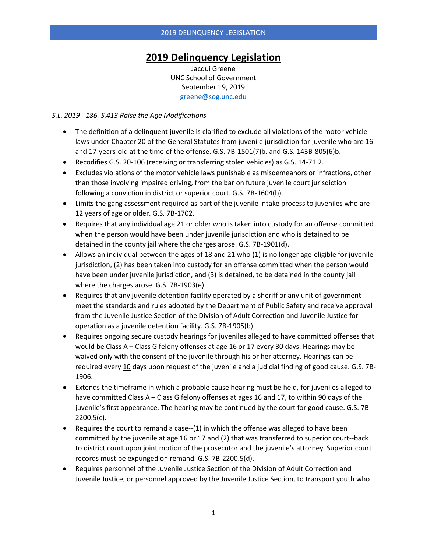# **2019 Delinquency Legislation**

Jacqui Greene UNC School of Government September 19, 2019 [greene@sog.unc.edu](mailto:greene@sog.unc.edu)

#### *S.L. 2019 - 186. S.413 Raise the Age Modifications*

- The definition of a delinquent juvenile is clarified to exclude all violations of the motor vehicle laws under Chapter 20 of the General Statutes from juvenile jurisdiction for juvenile who are 16 and 17-years-old at the time of the offense. G.S. 7B-1501(7)b. and G.S. 143B-805(6)b.
- Recodifies G.S. 20-106 (receiving or transferring stolen vehicles) as G.S. 14-71.2.
- Excludes violations of the motor vehicle laws punishable as misdemeanors or infractions, other than those involving impaired driving, from the bar on future juvenile court jurisdiction following a conviction in district or superior court. G.S. 7B-1604(b).
- Limits the gang assessment required as part of the juvenile intake process to juveniles who are 12 years of age or older. G.S. 7B-1702.
- Requires that any individual age 21 or older who is taken into custody for an offense committed when the person would have been under juvenile jurisdiction and who is detained to be detained in the county jail where the charges arose. G.S. 7B-1901(d).
- Allows an individual between the ages of 18 and 21 who (1) is no longer age-eligible for juvenile jurisdiction, (2) has been taken into custody for an offense committed when the person would have been under juvenile jurisdiction, and (3) is detained, to be detained in the county jail where the charges arose. G.S. 7B-1903(e).
- Requires that any juvenile detention facility operated by a sheriff or any unit of government meet the standards and rules adopted by the Department of Public Safety and receive approval from the Juvenile Justice Section of the Division of Adult Correction and Juvenile Justice for operation as a juvenile detention facility. G.S. 7B-1905(b).
- Requires ongoing secure custody hearings for juveniles alleged to have committed offenses that would be Class A – Class G felony offenses at age 16 or 17 every 30 days. Hearings may be waived only with the consent of the juvenile through his or her attorney. Hearings can be required every 10 days upon request of the juvenile and a judicial finding of good cause. G.S. 7B-1906.
- Extends the timeframe in which a probable cause hearing must be held, for juveniles alleged to have committed Class A – Class G felony offenses at ages 16 and 17, to within 90 days of the juvenile's first appearance. The hearing may be continued by the court for good cause. G.S. 7B-2200.5(c).
- Requires the court to remand a case--(1) in which the offense was alleged to have been committed by the juvenile at age 16 or 17 and (2) that was transferred to superior court--back to district court upon joint motion of the prosecutor and the juvenile's attorney. Superior court records must be expunged on remand. G.S. 7B-2200.5(d).
- Requires personnel of the Juvenile Justice Section of the Division of Adult Correction and Juvenile Justice, or personnel approved by the Juvenile Justice Section, to transport youth who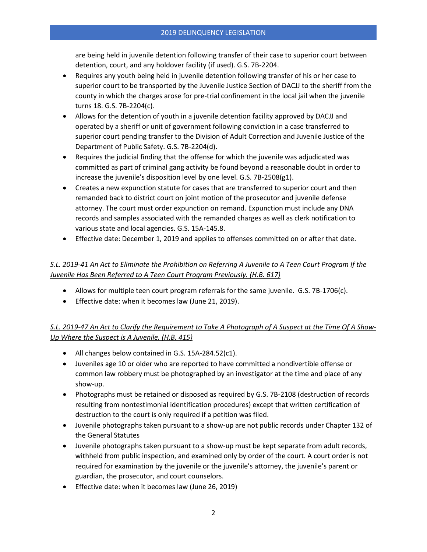are being held in juvenile detention following transfer of their case to superior court between detention, court, and any holdover facility (if used). G.S. 7B-2204.

- Requires any youth being held in juvenile detention following transfer of his or her case to superior court to be transported by the Juvenile Justice Section of DACJJ to the sheriff from the county in which the charges arose for pre-trial confinement in the local jail when the juvenile turns 18. G.S. 7B-2204(c).
- Allows for the detention of youth in a juvenile detention facility approved by DACJJ and operated by a sheriff or unit of government following conviction in a case transferred to superior court pending transfer to the Division of Adult Correction and Juvenile Justice of the Department of Public Safety. G.S. 7B-2204(d).
- Requires the judicial finding that the offense for which the juvenile was adjudicated was committed as part of criminal gang activity be found beyond a reasonable doubt in order to increase the juvenile's disposition level by one level. G.S. 7B-2508(g1).
- Creates a new expunction statute for cases that are transferred to superior court and then remanded back to district court on joint motion of the prosecutor and juvenile defense attorney. The court must order expunction on remand. Expunction must include any DNA records and samples associated with the remanded charges as well as clerk notification to various state and local agencies. G.S. 15A-145.8.
- Effective date: December 1, 2019 and applies to offenses committed on or after that date.

#### *S.L. 2019-41 An Act to Eliminate the Prohibition on Referring A Juvenile to A Teen Court Program If the Juvenile Has Been Referred to A Teen Court Program Previously. (H.B. 617)*

- Allows for multiple teen court program referrals for the same juvenile. G.S. 7B-1706(c).
- Effective date: when it becomes law (June 21, 2019).

# *S.L. 2019-47 An Act to Clarify the Requirement to Take A Photograph of A Suspect at the Time Of A Show-Up Where the Suspect is A Juvenile. (H.B. 415)*

- All changes below contained in G.S. 15A-284.52(c1).
- Juveniles age 10 or older who are reported to have committed a nondivertible offense or common law robbery must be photographed by an investigator at the time and place of any show-up.
- Photographs must be retained or disposed as required by G.S. 7B-2108 (destruction of records resulting from nontestimonial identification procedures) except that written certification of destruction to the court is only required if a petition was filed.
- Juvenile photographs taken pursuant to a show-up are not public records under Chapter 132 of the General Statutes
- Juvenile photographs taken pursuant to a show-up must be kept separate from adult records, withheld from public inspection, and examined only by order of the court. A court order is not required for examination by the juvenile or the juvenile's attorney, the juvenile's parent or guardian, the prosecutor, and court counselors.
- Effective date: when it becomes law (June 26, 2019)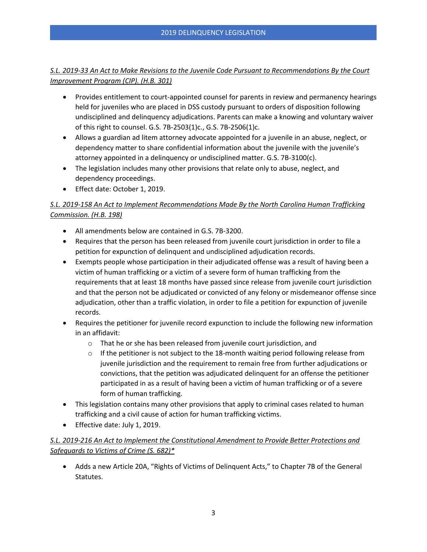#### *S.L. 2019-33 An Act to Make Revisions to the Juvenile Code Pursuant to Recommendations By the Court Improvement Program (CIP). (H.B. 301)*

- Provides entitlement to court-appointed counsel for parents in review and permanency hearings held for juveniles who are placed in DSS custody pursuant to orders of disposition following undisciplined and delinquency adjudications. Parents can make a knowing and voluntary waiver of this right to counsel. G.S. 7B-2503(1)c., G.S. 7B-2506(1)c.
- Allows a guardian ad litem attorney advocate appointed for a juvenile in an abuse, neglect, or dependency matter to share confidential information about the juvenile with the juvenile's attorney appointed in a delinquency or undisciplined matter. G.S. 7B-3100(c).
- The legislation includes many other provisions that relate only to abuse, neglect, and dependency proceedings.
- Effect date: October 1, 2019.

### *S.L. 2019-158 An Act to Implement Recommendations Made By the North Carolina Human Trafficking Commission. (H.B. 198)*

- All amendments below are contained in G.S. 7B-3200.
- Requires that the person has been released from juvenile court jurisdiction in order to file a petition for expunction of delinquent and undisciplined adjudication records.
- Exempts people whose participation in their adjudicated offense was a result of having been a victim of human trafficking or a victim of a severe form of human trafficking from the requirements that at least 18 months have passed since release from juvenile court jurisdiction and that the person not be adjudicated or convicted of any felony or misdemeanor offense since adjudication, other than a traffic violation, in order to file a petition for expunction of juvenile records.
- Requires the petitioner for juvenile record expunction to include the following new information in an affidavit:
	- o That he or she has been released from juvenile court jurisdiction, and
	- $\circ$  If the petitioner is not subject to the 18-month waiting period following release from juvenile jurisdiction and the requirement to remain free from further adjudications or convictions, that the petition was adjudicated delinquent for an offense the petitioner participated in as a result of having been a victim of human trafficking or of a severe form of human trafficking.
- This legislation contains many other provisions that apply to criminal cases related to human trafficking and a civil cause of action for human trafficking victims.
- Effective date: July 1, 2019.

# *S.L. 2019-216 An Act to Implement the Constitutional Amendment to Provide Better Protections and Safeguards to Victims of Crime (S. 682)\**

• Adds a new Article 20A, "Rights of Victims of Delinquent Acts," to Chapter 7B of the General Statutes.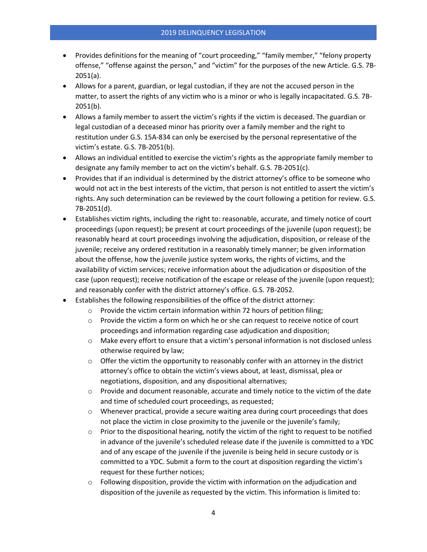- Provides definitions for the meaning of "court proceeding," "family member," "felony property offense," "offense against the person," and "victim" for the purposes of the new Article. G.S. 7B-2051(a).
- Allows for a parent, guardian, or legal custodian, if they are not the accused person in the matter, to assert the rights of any victim who is a minor or who is legally incapacitated. G.S. 7B-2051(b).
- Allows a family member to assert the victim's rights if the victim is deceased. The guardian or legal custodian of a deceased minor has priority over a family member and the right to restitution under G.S. 15A-834 can only be exercised by the personal representative of the victim's estate. G.S. 7B-2051(b).
- Allows an individual entitled to exercise the victim's rights as the appropriate family member to designate any family member to act on the victim's behalf. G.S. 7B-2051(c).
- Provides that if an individual is determined by the district attorney's office to be someone who would not act in the best interests of the victim, that person is not entitled to assert the victim's rights. Any such determination can be reviewed by the court following a petition for review. G.S. 7B-2051(d).
- Establishes victim rights, including the right to: reasonable, accurate, and timely notice of court proceedings (upon request); be present at court proceedings of the juvenile (upon request); be reasonably heard at court proceedings involving the adjudication, disposition, or release of the juvenile; receive any ordered restitution in a reasonably timely manner; be given information about the offense, how the juvenile justice system works, the rights of victims, and the availability of victim services; receive information about the adjudication or disposition of the case (upon request); receive notification of the escape or release of the juvenile (upon request); and reasonably confer with the district attorney's office. G.S. 7B-2052.
- Establishes the following responsibilities of the office of the district attorney:
	- o Provide the victim certain information within 72 hours of petition filing;
	- $\circ$  Provide the victim a form on which he or she can request to receive notice of court proceedings and information regarding case adjudication and disposition;
	- o Make every effort to ensure that a victim's personal information is not disclosed unless otherwise required by law;
	- $\circ$  Offer the victim the opportunity to reasonably confer with an attorney in the district attorney's office to obtain the victim's views about, at least, dismissal, plea or negotiations, disposition, and any dispositional alternatives;
	- $\circ$  Provide and document reasonable, accurate and timely notice to the victim of the date and time of scheduled court proceedings, as requested;
	- $\circ$  Whenever practical, provide a secure waiting area during court proceedings that does not place the victim in close proximity to the juvenile or the juvenile's family;
	- $\circ$  Prior to the dispositional hearing, notify the victim of the right to request to be notified in advance of the juvenile's scheduled release date if the juvenile is committed to a YDC and of any escape of the juvenile if the juvenile is being held in secure custody or is committed to a YDC. Submit a form to the court at disposition regarding the victim's request for these further notices;
	- $\circ$  Following disposition, provide the victim with information on the adjudication and disposition of the juvenile as requested by the victim. This information is limited to: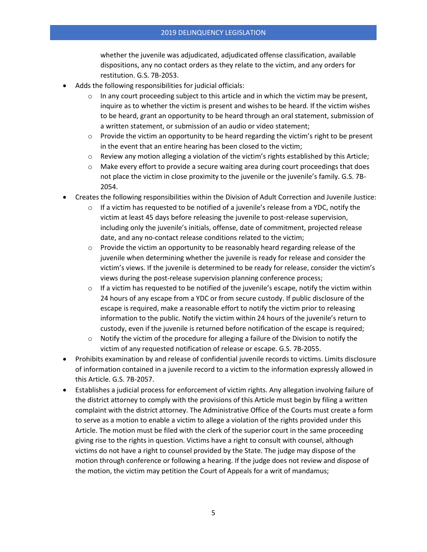whether the juvenile was adjudicated, adjudicated offense classification, available dispositions, any no contact orders as they relate to the victim, and any orders for restitution. G.S. 7B-2053.

- Adds the following responsibilities for judicial officials:
	- $\circ$  In any court proceeding subject to this article and in which the victim may be present, inquire as to whether the victim is present and wishes to be heard. If the victim wishes to be heard, grant an opportunity to be heard through an oral statement, submission of a written statement, or submission of an audio or video statement;
	- $\circ$  Provide the victim an opportunity to be heard regarding the victim's right to be present in the event that an entire hearing has been closed to the victim;
	- $\circ$  Review any motion alleging a violation of the victim's rights established by this Article;
	- $\circ$  Make every effort to provide a secure waiting area during court proceedings that does not place the victim in close proximity to the juvenile or the juvenile's family. G.S. 7B-2054.
- Creates the following responsibilities within the Division of Adult Correction and Juvenile Justice:
	- $\circ$  If a victim has requested to be notified of a juvenile's release from a YDC, notify the victim at least 45 days before releasing the juvenile to post-release supervision, including only the juvenile's initials, offense, date of commitment, projected release date, and any no-contact release conditions related to the victim;
	- $\circ$  Provide the victim an opportunity to be reasonably heard regarding release of the juvenile when determining whether the juvenile is ready for release and consider the victim's views. If the juvenile is determined to be ready for release, consider the victim's views during the post-release supervision planning conference process;
	- $\circ$  If a victim has requested to be notified of the juvenile's escape, notify the victim within 24 hours of any escape from a YDC or from secure custody. If public disclosure of the escape is required, make a reasonable effort to notify the victim prior to releasing information to the public. Notify the victim within 24 hours of the juvenile's return to custody, even if the juvenile is returned before notification of the escape is required;
	- $\circ$  Notify the victim of the procedure for alleging a failure of the Division to notify the victim of any requested notification of release or escape. G.S. 7B-2055.
- Prohibits examination by and release of confidential juvenile records to victims. Limits disclosure of information contained in a juvenile record to a victim to the information expressly allowed in this Article. G.S. 7B-2057.
- Establishes a judicial process for enforcement of victim rights. Any allegation involving failure of the district attorney to comply with the provisions of this Article must begin by filing a written complaint with the district attorney. The Administrative Office of the Courts must create a form to serve as a motion to enable a victim to allege a violation of the rights provided under this Article. The motion must be filed with the clerk of the superior court in the same proceeding giving rise to the rights in question. Victims have a right to consult with counsel, although victims do not have a right to counsel provided by the State. The judge may dispose of the motion through conference or following a hearing. If the judge does not review and dispose of the motion, the victim may petition the Court of Appeals for a writ of mandamus;